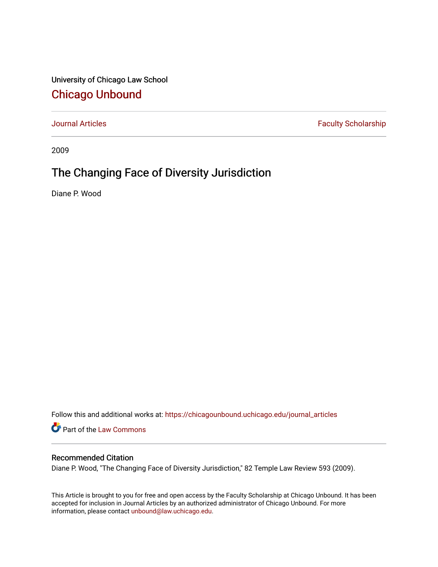University of Chicago Law School [Chicago Unbound](https://chicagounbound.uchicago.edu/)

[Journal Articles](https://chicagounbound.uchicago.edu/journal_articles) **Faculty Scholarship Faculty Scholarship** 

2009

## The Changing Face of Diversity Jurisdiction

Diane P. Wood

Follow this and additional works at: [https://chicagounbound.uchicago.edu/journal\\_articles](https://chicagounbound.uchicago.edu/journal_articles?utm_source=chicagounbound.uchicago.edu%2Fjournal_articles%2F2055&utm_medium=PDF&utm_campaign=PDFCoverPages) 

Part of the [Law Commons](http://network.bepress.com/hgg/discipline/578?utm_source=chicagounbound.uchicago.edu%2Fjournal_articles%2F2055&utm_medium=PDF&utm_campaign=PDFCoverPages)

#### Recommended Citation

Diane P. Wood, "The Changing Face of Diversity Jurisdiction," 82 Temple Law Review 593 (2009).

This Article is brought to you for free and open access by the Faculty Scholarship at Chicago Unbound. It has been accepted for inclusion in Journal Articles by an authorized administrator of Chicago Unbound. For more information, please contact [unbound@law.uchicago.edu](mailto:unbound@law.uchicago.edu).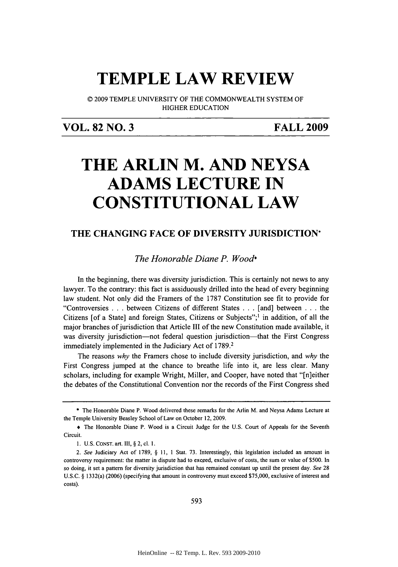## **TEMPLE LAW REVIEW**

**0 2009** TEMPLE **UNIVERSITY** OF THE COMMONWEALTH SYSTEM OF HIGHER **EDUCATION**

### **VOL. 82 NO. 3 FALL 2009**

# **THE ARLIN M. AND NEYSA ADAMS LECTURE IN CONSTITUTIONAL LAW**

### **THE CHANGING FACE OF DIVERSITY JURISDICTION\***

*The Honorable Diane P. Wood\**

In the beginning, there was diversity jurisdiction. This is certainly not news to any lawyer. To the contrary: this fact is assiduously drilled into the head of every beginning law student. Not only did the Framers of the **1787** Constitution see fit to provide for "Controversies **. . .** between Citizens of different States **. . .** [and] between **. . .** the Citizens [of a State] and foreign States, Citizens or Subjects";' in addition, of all the major branches of jurisdiction that Article **III** of the new Constitution made available, it was diversity jurisdiction—not federal question jurisdiction—that the First Congress immediately implemented in the Judiciary Act of **1789.2**

The reasons *why* the Framers chose to include diversity jurisdiction, and *why* the First Congress jumped at the chance to breathe life into it, are less clear. Many scholars, including for example Wright, Miller, and Cooper, have noted that "[n]either the debates of the Constitutional Convention nor the records of the First Congress shed

*593*

**<sup>\*</sup>** The Honorable Diane P. Wood delivered these remarks for the Arlin M. and Neysa Adams Lecture at the Temple University Beasley School of Law on October 12, **2009.**

**<sup>+</sup>** The Honorable Diane P. Wood is a Circuit Judge for the **U.S.** Court of Appeals for the Seventh Circuit.

**<sup>1.</sup> U.S. CONST.** art. III, **§** 2, cl. **1.**

*<sup>2.</sup>* **See** Judiciary Act of **1789, § 11, 1** Stat. **73.** Interestingly, this legislation included an amount in controversy requirement: the matter in dispute had to exceed, exclusive of costs, the sum or value of **\$500.** In so doing, it set a pattern for diversity jurisdiction that has remained constant up until the present day. **See 28 U.S.C. §** 1332(a) **(2006)** (specifying that amount in controversy must exceed **\$75,000,** exclusive of interest and costs).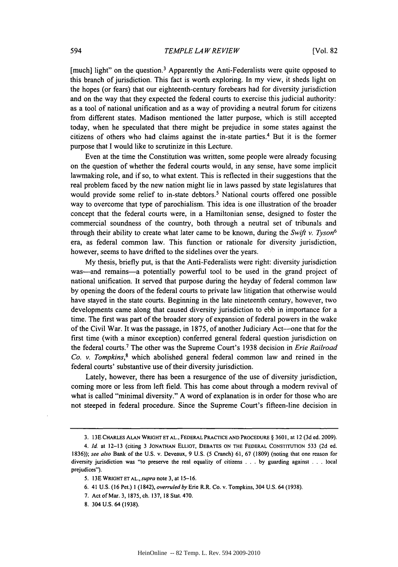[much] light" on the question.<sup>3</sup> Apparently the Anti-Federalists were quite opposed to this branch of jurisdiction. This fact is worth exploring. In my view, it sheds light on the hopes (or fears) that our eighteenth-century forebears had for diversity jurisdiction and on the way that they expected the federal courts to exercise this judicial authority: as a tool of national unification and as a way of providing a neutral forum for citizens from different states. Madison mentioned the latter purpose, which is still accepted today, when he speculated that there might be prejudice in some states against the citizens of others who had claims against the in-state parties.4 But it is the former purpose that **I** would like to scrutinize in this Lecture.

Even at the time the Constitution was written, some people were already focusing on the question of whether the federal courts would, in any sense, have some implicit lawmaking role, and if so, to what extent. This is reflected in their suggestions that the real problem faced **by** the new nation might lie in laws passed **by** state legislatures that would provide some relief to in-state debtors.<sup>5</sup> National courts offered one possible way to overcome that type of parochialism. This idea is one illustration of the broader concept that the federal courts were, in a Hamiltonian sense, designed to foster the commercial soundness of the country, both through a neutral set of tribunals and through their ability to create what later came to be known, during the *Swift v. Tyson <sup>6</sup>* era, as federal common law. This function or rationale for diversity jurisdiction, however, seems to have drifted to the sidelines over the years.

**My** thesis, briefly put, is that the Anti-Federalists were right: diversity jurisdiction was—and remains—a potentially powerful tool to be used in the grand project of national unification. It served that purpose during the heyday of federal common law **by** opening the doors of the federal courts to private law litigation that otherwise would have stayed in the state courts. Beginning in the late nineteenth century, however, two developments came along that caused diversity jurisdiction to ebb in importance for a time. The first was part of the broader story of expansion of federal powers in the wake of the Civil War. It was the passage, in **1875,** of another Judiciary Act--one that for the first time (with a minor exception) conferred general federal question jurisdiction on the federal courts.7 The other was the Supreme Court's **1938** decision in *Erie Railroad Co. v. Tompkins,8* which abolished general federal common law and reined in the federal courts' substantive use of their diversity jurisdiction.

Lately, however, there has been a resurgence of the use of diversity jurisdiction, coming more or less from left field. This has come about through a modem revival of what is called "minimal diversity." **A** word of explanation is in order for those who are not steeped in federal procedure. Since the Supreme Court's fifteen-line decision in

**8.** 304 **U.S.** 64 **(1938).**

**<sup>3. 13</sup>E** CHARLES **ALAN WRIGHT ET AL., FEDERAL PRACTICE AND PROCEDURE § 3601,** at 12 **(3d** ed. **2009).**

<sup>4.</sup> *Id.* at **12-13** (citing **3 JONATHAN ELLIOT, DEBATES ON THE FEDERAL CONSTITUTION 533 (2d** ed. *1836)); see also* Bank of the **U.S.** v. Deveaux, **9 U.S.** *(5* Cranch) **61, 67 (1809)** (noting that one reason for diversity jurisdiction was "to preserve the real equality of citizens **. . . by** guarding against **. . .** local prejudices").

**<sup>5. 13</sup>E** WRIGHT **ET** *AL., supra* note **3,** at **15-16.**

**<sup>6.</sup>** 41 **U.S. (16** Pet.) 1 *(1842), overruledby Erie* R.R. Co. v. Tompkins, 304 **U.S.** 64 **(1938).**

**<sup>7.</sup>** Act of Mar. **3, 1875,** ch. **137, 18** Stat. 470.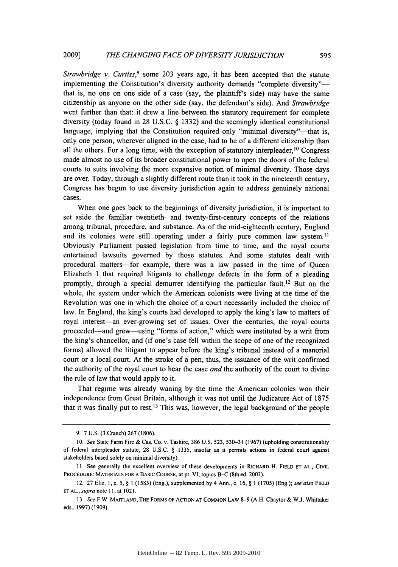*Strawbridge v. Curtiss*,<sup>9</sup> some 203 years ago, it has been accepted that the statute implementing the Constitution's diversity authority demands "complete diversity"that is, no one on one side of a case (say, the plaintiff's side) may have the same citizenship as anyone on the other side (say, the defendant's side). And *Strawbridge* went further than that: it drew a line between the statutory requirement for complete diversity (today found in **28 U.S.C. § 1332)** and the seemingly identical constitutional language, implying that the Constitution required only "minimal diversity"-that is, only one person, wherever aligned in the case, had to be of a different citizenship than all the others. For a long time, with the exception of statutory interpleader,  $10$  Congress made almost no use of its broader constitutional power to open the doors of the federal courts to suits involving the more expansive notion of minimal diversity. Those days are over. Today, through a slightly different route than it took in the nineteenth century, Congress has begun to use diversity jurisdiction again to address genuinely national cases.

When one goes back to the beginnings of diversity jurisdiction, it is important to set aside the familiar twentieth- and twenty-first-century concepts of the relations among tribunal, procedure, and substance. As of the mid-eighteenth century, England and its colonies were still operating under a fairly pure common law system.<sup>11</sup> Obviously Parliament passed legislation from time to time, and the royal courts entertained lawsuits governed **by** those statutes. And some statutes dealt with procedural matters-for example, there was a law passed in the time of Queen Elizabeth **I** that required litigants to challenge defects in the form of a pleading promptly, through a special demurrer identifying the particular fault.12 But on the whole, the system under which the American colonists were living at the time of the Revolution was one in which the choice of a court necessarily included the choice of law. In England, the king's courts had developed to apply the king's law to matters of royal interest-an ever-growing set of issues. Over the centuries, the royal courts proceeded-and grew-using "forms of action," which were instituted **by** a writ from the king's chancellor, and (if one's case fell within the scope of one of the recognized forms) allowed the litigant to appear before the king's tribunal instead of a manorial court or a local court. At the stroke of a pen, thus, the issuance of the writ confirmed the authority of the royal court to hear the case *and* the authority of the court to divine the rule of law that would apply to it.

That regime was already waning **by** the time the American colonies won their independence from Great Britain, although it was not until the Judicature Act of *1875* that it was finally put to rest.<sup>13</sup> This was, however, the legal background of the people

**<sup>9. 7</sup> U.S. (3** Cranch) **267 (1806).**

*<sup>10.</sup> See* State Farm Fire **&** Cas. **Co. v. Tashire, 386 U.S. 523, 530-31 (1967) (upholding constitutionality** of federal interpleader statute, **28 U.S.C.** *§* **1335,** insofar as it permits actions in federal court against **stakeholders based solely on minimal diversity).**

**I1. See generally the excellent overview of these developments in RICHARD H. FIELD ET AL., CIVIL PROCEDURE: MATERIALS FOR A BASIC COURSE, at pt. VI, topics B-C (8th ed. 2003).**

**<sup>12. 27</sup> Eliz. 1, c. 5,** *§* **1 (1585) (Eng.), supplemented by 4 Ann., c. 16,** *§* **1 (1705) (Eng.);** *see also FIELD ET AL., supra note* **i1, at 1021.**

*<sup>13.</sup> See* **F.W. MAITLAND, THE FoRMs OF ACTION AT COMMON LAW 8-9 (A.H. Chaytor & W.J. Whittaker eds., 1997) (1909).**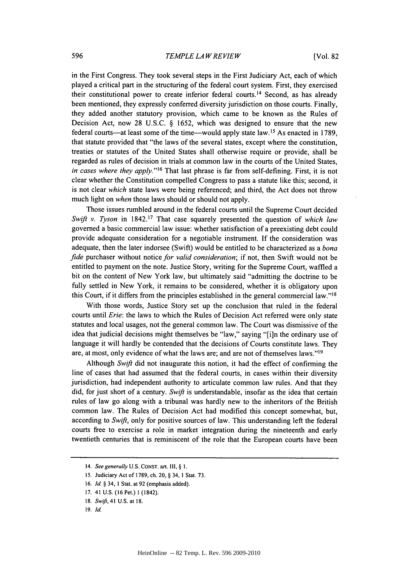in the First Congress. They took several steps in the First Judiciary Act, each of which played a critical part in the structuring of the federal court system. First, they exercised their constitutional power to create inferior federal courts.<sup>14</sup> Second, as has already been mentioned, they expressly conferred diversity jurisdiction on those courts. Finally, they added another statutory provision, which came to be known as the Rules of Decision Act, now **28 U.S.C. § 1652,** which was designed to ensure that the new federal courts-at least some of the time-would apply state law.<sup>15</sup> As enacted in 1789, that statute provided that "the laws of the several states, except where the constitution, treaties or statutes of the United States shall otherwise require or provide, shall be regarded as rules of decision in trials at common law in the courts of the United States, *in cases where they apply.*"<sup>16</sup> That last phrase is far from self-defining. First, it is not clear whether the Constitution compelled Congress to pass a statute like this; second, it is not clear *which* state laws were being referenced; and third, the Act does not throw much light on *when* those laws should or should not apply.

Those issues rumbled around in the federal courts until the Supreme Court decided *Swift v. Tyson* in **1842.17** That case squarely presented the question of *which law* governed a basic commercial law issue: whether satisfaction of a preexisting debt could provide adequate consideration for a negotiable instrument. **If** the consideration was adequate, then the later indorsee (Swift) would be entitled to be characterized as a *bona fide* purchaser without notice *for valid consideration;* if not, then Swift would not be entitled to payment on the note. Justice Story, writing for the Supreme Court, waffled a bit on the content of New York law, but ultimately said "admitting the doctrine to be fully settled in New York, it remains to be considered, whether it is obligatory upon this Court, if it differs from the principles established in the general commercial law."<sup>18</sup>

With those words, Justice Story set up the conclusion that ruled in the federal courts until *Erie:* the laws to which the Rules of Decision Act referred were only state statutes and local usages, not the general common law. The Court was dismissive of the idea that judicial decisions might themselves be "law," saying "[i]n the ordinary use of language it will hardly be contended that the decisions of Courts constitute laws. They are, at most, only evidence of what the laws are; and are not of themselves laws."<sup>19</sup>

Although *Swift* did not inaugurate this notion, it had the effect of confirming the line of cases that had assumed that the federal courts, in cases within their diversity jurisdiction, had independent authority to articulate common law rules. And that they did, for just short of a century. *Swift* is understandable, insofar as the idea that certain rules of law go along with a tribunal was hardly new to the inheritors of the British common law. The Rules of Decision Act had modified this concept somewhat, but, according to *Swift,* only for positive sources of law. This understanding left the federal courts free to exercise a role in market integration during the nineteenth and early twentieth centuries that is reminiscent of the role that the European courts have been

**<sup>14.</sup>** *See generally* **U.S. CONST.** *art.* **III, § 1.**

**<sup>15.</sup>** Judiciary Act of **1789,** ch. **20, § 34, 1 Stat. 73.**

**<sup>16.</sup> Id. §** 34, **1** Stat. at **92** (emphasis added).

**<sup>17. 41</sup> U.S. (16** Pet.) 1 **(1842).**

**<sup>18.</sup>** *Swift,* **41 U.S. at 18.**

**<sup>19.</sup>** *Id.*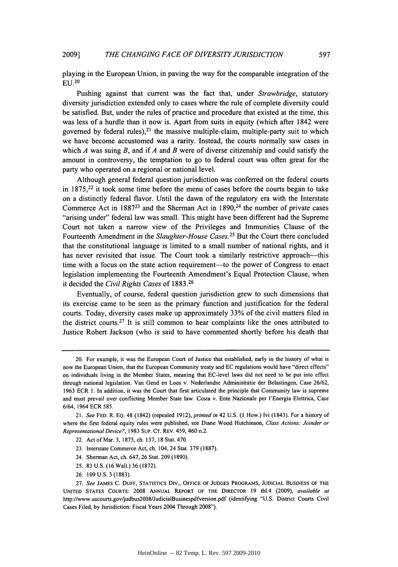playing in the European Union, in paving the way for the comparable integration of the **EU. <sup>20</sup>**

Pushing against that current was the fact that, under *Strawbridge,* statutory diversity jurisdiction extended only to cases where the rule of complete diversity could be satisfied. But, under the rules of practice and procedure that existed at the time, this was less of a hurdle than it now is. Apart from suits in equity (which after 1842 were governed by federal rules),<sup>21</sup> the massive multiple-claim, multiple-party suit to which we have become accustomed was a rarity. Instead, the courts normally saw cases in which *A* was suing *B,* and if **A** and *B* were of diverse citizenship and could satisfy the amount in controversy, the temptation to go to federal court was often great for the party who operated on a regional or national level.

Although general federal question jurisdiction was conferred on the federal courts in **1875,22** it took some time before the menu of cases before the courts began to take on a distinctly federal flavor. Until the dawn of the regulatory era with the Interstate Commerce Act in **188723** and the Sherman Act in **1890,24** the number of private cases "arising under" federal law was small. This might have been different had the Supreme Court not taken a narrow view of the Privileges and Immunities Clause of the Fourteenth Amendment in the *Slaughter-House Cases.25* But the Court there concluded that the constitutional language is limited to a small number of national rights, and it has never revisited that issue. The Court took a similarly restrictive approach—this time with a focus on the state action requirement—to the power of Congress to enact legislation implementing the Fourteenth Amendment's Equal Protection Clause, when it decided the *Civil Rights Cases* of **1883.26**

Eventually, of course, federal question jurisdiction grew to such dimensions that its exercise came to be seen as the primary function and justification for the federal courts. Today, diversity cases make up approximately **33%** of the civil matters filed in the district courts.27 It is still common to hear complaints like the ones attributed to Justice Robert Jackson (who is said to have commented shortly before his death that

- **23.** Interstate Commerce Act, ch. 104, 24 Stat. **379 (1887).**
- 24. Sherman Act, ch. 647, **26** Stat. **209 (1890).**
- **25. 83 U.S. (16** Wall.) **36 (1872).**
- **26. 109 U.S. 3 (1883).**

<sup>20.</sup> For example, it was the European Court of Justice that established, early in the history of what is now the European Union, that the European Community treaty and **EC** regulations would have "direct effects" on individuals living in the Member States, meaning that EC-level laws did not need to be put into effect through national legislation. Van Gend en Loos v. Nederlandse Administratie der Belastingen, Case **26/62, 1963** ECR **1.** In addition, it was the Court that first articulated the principle that Community law is supreme and must prevail over conflicting Member State law. Costa v. Ente Nazionale per l'Energia Elettrica, Case 6/64, 1964 ECR **585.**

*<sup>21.</sup> See* **FED.** R. **EQ.** 48 (1842) (repealed **1912),** *printed in* 42 **U.S. (I** How.) Ivi (1843). For a history of where the first federal equity rules were published, see Diane Wood Hutchinson, *Class Actions: Joinder or Representational Device?,* **1983 SUP. CT.** REv. 459, 460 n.2.

<sup>22.</sup> Act of Mar. **3, 1875,** ch. **137, 18** Stat. 470.

**<sup>27.</sup>** *See* **JAMES C. DUFF, STATISTICS Div., OFFICE OF JUDGES PROGRAMS, JUDICIAL BUSINESS OF THE UNITED STATES COURTS: 2008 ANNUAL REPORT OF THE DIRECTOR 19** tbl.4 **(2009),** *available at* http://www.uscourts.gov/judbus2008/JudicialBusinespdfversion.pdf (identifying **"U.S.** District Courts Civil Cases Filed, **by** Jurisdiction: Fiscal Years 2004 Through **2008").**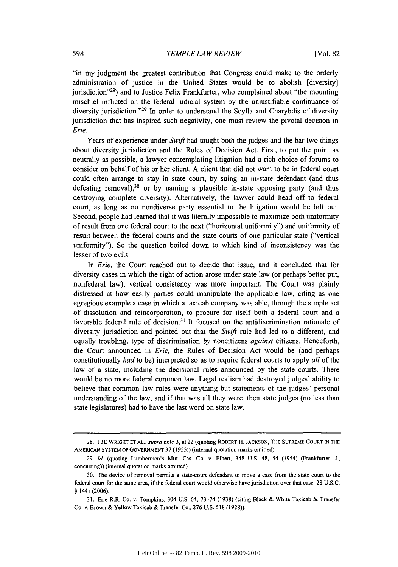"in my judgment the greatest contribution that Congress could make to the orderly administration of justice in the United States would be to abolish [diversity] jurisdiction"<sup>28</sup>) and to Justice Felix Frankfurter, who complained about "the mounting mischief inflicted on the federal judicial system **by** the unjustifiable continuance of diversity jurisdiction."<sup>29</sup> In order to understand the Scylla and Charybdis of diversity jurisdiction that has inspired such negativity, one must review the pivotal decision in *Erie.*

Years of experience under *Swift* had taught both the judges and the bar two things about diversity jurisdiction and the Rules of Decision Act. First, to put the point as neutrally as possible, a lawyer contemplating litigation had a rich choice of forums to consider on behalf of his or her client. **A** client that did not want to be in federal court could often arrange to stay in state court, **by** suing an in-state defendant (and thus defeating removal), 30 or **by** naming a plausible in-state opposing party (and thus destroying complete diversity). Alternatively, the lawyer could head off to federal court, as long as no nondiverse party essential to the litigation would be left out. Second, people had learned that it was literally impossible to maximize both uniformity of result from one federal court to the next ("horizontal uniformity") and uniformity of result between the federal courts and the state courts of one particular state ("vertical uniformity"). So the question boiled down to which kind of inconsistency was the lesser of two evils.

*In Erie,* the Court reached out to decide that issue, and it concluded that for diversity cases in which the right of action arose under state law (or perhaps better put, nonfederal law), vertical consistency was more important. The Court was plainly distressed at how easily parties could manipulate the applicable law, citing as one egregious example a case in which a taxicab company was able, through the simple act of dissolution and reincorporation, to procure for itself both a federal court and a favorable federal rule of decision.<sup>31</sup> It focused on the antidiscrimination rationale of diversity jurisdiction and pointed out that the *Swift* rule had led to a different, and equally troubling, type of discrimination *by noncitizens against* citizens. Henceforth, the Court announced in *Erie,* the Rules of Decision Act would be (and perhaps constitutionally *had* to be) interpreted so as to require federal courts to apply *all* of the law of a state, including the decisional rules announced **by** the state courts. There would be no more federal common law. Legal realism had destroyed judges' ability to believe that common law rules were anything but statements of the judges' personal understanding of the law, and if that was all they were, then state judges (no less than state legislatures) had to have the last word on state law.

**<sup>28. 13</sup>E WRIGHT ET AL., supra** note **3, at** 22 **(quoting ROBERT H. JACKSON, THE SUPREME COURT IN THE AMERICAN SYSTEM OF GOVERNMENT 37 (1955)) (internal quotation marks omitted).**

*<sup>29.</sup> Id.* **(quoting Lumbermen's Mut. Cas. Co. v. Elbert,** 348 **U.S.** 48, **54 (1954) (Frankfurter, J., concurring)) (internal quotation marks omitted).**

**<sup>30.</sup> The device of removal permits a state-court defendant to move a case from the state court to the federal court for the same area,** if the federal court would **otherwise have jurisdiction** over that **case. 28 U.S.C. § 1441 (2006).**

**<sup>31.</sup>** Erie R.R. Co. v. Tompkins, 304 **U.S.** 64, **73-74 (1938)** (citing Black **&** White Taxicab **&** Transfer Co. v. Brown **&** Yellow Taxicab **& Transfer Co., 276 U.S. 518 (1928)).**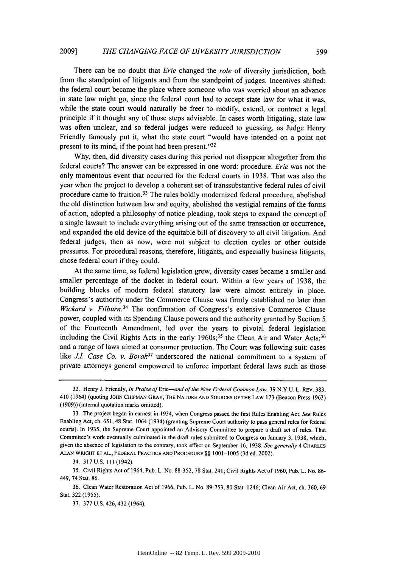There can be no doubt that *Erie* changed the *role* of diversity jurisdiction, both from the standpoint of litigants and from the standpoint of judges. Incentives shifted: the federal court became the place where someone who was worried about an advance in state law might go, since the federal court had to accept state law for what it was, while the state court would naturally be freer to modify, extend, or contract a legal principle if it thought any of those steps advisable. In cases worth litigating, state law was often unclear, and so federal judges were reduced to guessing, as Judge Henry Friendly famously put it, what the state court "would have intended on a point not present to its mind, if the point had been present."<sup>32</sup>

**Why,** then, did diversity cases during this period not disappear altogether from the federal courts? The answer can be expressed in one word: procedure. *Erie* was not the only momentous event that occurred for the federal courts in **1938.** That was also the year when the project to develop a coherent set of transsubstantive federal rules of civil procedure came to fruition.<sup>33</sup> The rules boldly modernized federal procedure, abolished the old distinction between law and equity, abolished the vestigial remains of the forms of action, adopted a philosophy of notice pleading, took steps to expand the concept of a single lawsuit to include everything arising out of the same transaction or occurrence, and expanded the old device of the equitable bill of discovery to all civil litigation. And federal judges, then as now, were not subject to election cycles or other outside pressures. For procedural reasons, therefore, litigants, and especially business litigants, chose federal court if they could.

At the same time, as federal legislation grew, diversity cases became a smaller and smaller percentage of the docket in federal court. Within a few years of **1938,** the building blocks of modern federal statutory law were almost entirely in place. Congress's authority under the Commerce Clause was firmly established no later than *Wickard v. Filburn.34* The confirmation of Congress's extensive Commerce Clause power, coupled with its Spending Clause powers and the authority granted **by** Section *5* of the Fourteenth Amendment, led over the years to pivotal federal legislation including the Civil Rights Acts in the early  $1960s$ ;<sup>35</sup> the Clean Air and Water Acts;<sup>36</sup> and a range of laws aimed at consumer protection. The Court was following suit: cases like *J.I. Case Co. v. Borak*<sup>37</sup> underscored the national commitment to a system of private attorneys general empowered to enforce important federal laws such as those

**<sup>32.</sup>** Henry **J.** Friendly, In Praise of *Erie-and* of the New *Federal* Common Law, **39 N.Y.U.** L. REv. **383,** 410 (1964) (quoting **JOHN CHIPMAN GRAY, THE NATURE AND SOURCES OF THE LAW 173** (Beacon Press **1963) (1909))** (internal quotation marks omitted).

**<sup>33.</sup>** The project began in earnest in 1934, when Congress passed the first Rules Enabling Act. See Rules Enabling Act, ch. **651,** 48 Stat. 1064 (1934) (granting Supreme Court authority to pass general rules for federal courts). In **1935,** the Supreme Court appointed an Advisory Committee to prepare a draft set of rules. That Committee's work eventually culminated in the draft rules submitted to Congress on January **3, 1938,** which, given the absence of legislation to the contrary, took effect on September **16, 1938.** See generally 4 **CHARLES ALAN WRIGHT ET AL., FEDERAL PRACTICE AND PROCEDURE** *§§* **1001-1005 (3d** ed. 2002).

<sup>34.</sup> **317 U.S.** Ill (1942).

**<sup>35.</sup>** Civil Rights Act of 1964, Pub. L. No. **88-352, 78** Stat. **241;** Civil Rights Act of **1960,** Pub. L. No. **86-** 449, 74 Stat. **86.**

**<sup>36.</sup>** Clean Water Restoration Act of **1966,** Pub. L. No. **89-753, 80** Stat. 1246; Clean Air Act, ch. **360, 69** Stat. **322 (1955).**

**<sup>37. 377</sup> U.S.** 426, 432 (1964).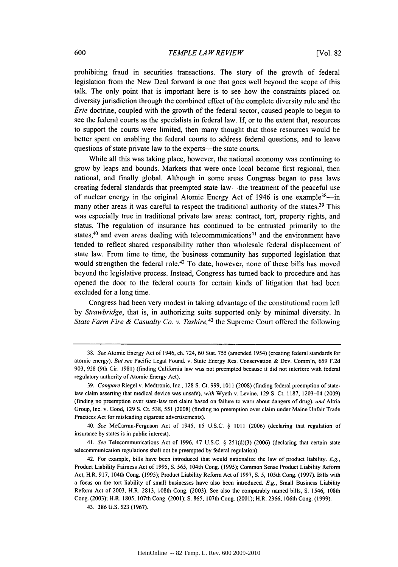prohibiting fraud in securities transactions. The story of the growth of federal legislation from the New Deal forward is one that goes well beyond the scope of this talk. The only point that is important here is to see how the constraints placed on diversity jurisdiction through the combined effect of the complete diversity rule and the *Erie* doctrine, coupled with the growth of the federal sector, caused people to begin to see the federal courts as the specialists in federal law. **If,** or to the extent that, resources to support the courts were limited, then many thought that those resources would be better spent on enabling the federal courts to address federal questions, and to leave questions of state private law to the experts—the state courts.

While all this was taking place, however, the national economy was continuing to grow **by** leaps and bounds. Markets that were once local became first regional, then national, and finally global. Although in some areas Congress began to pass laws creating federal standards that preempted state law-the treatment of the peaceful use of nuclear energy in the original Atomic Energy Act of 1946 is one example<sup>38</sup>many other areas it was careful to respect the traditional authority of the states.<sup>39</sup> This was especially true in traditional private law areas: contract, tort, property rights, and status. The regulation of insurance has continued to be entrusted primarily to the states,<sup>40</sup> and even areas dealing with telecommunications<sup>41</sup> and the environment have tended to reflect shared responsibility rather than wholesale federal displacement of state law. From time to time, the business community has supported legislation that would strengthen the federal role.<sup>42</sup> To date, however, none of these bills has moved beyond the legislative process. Instead, Congress has turned back to procedure and has opened the door to the federal courts for certain kinds of litigation that had been excluded for a long time.

Congress had been very modest in taking advantage of the constitutional room left *by Strawbridge,* that is, in authorizing suits supported only **by** minimal diversity. In *State Farm Fire & Casualty Co. v. Tashire,43* the Supreme Court offered the following

*40. See* McCarran-Ferguson Act of 1945, **15 U.S.C. § 1011 (2006)** (declaring that regulation of insurance **by** states is in public interest).

*41. See* Telecommunications Act of **1996,** 47 **U.S.C. § 251(d)(3) (2006)** (declaring that certain state telecommunication regulations shall not be preempted **by** federal regulation).

*<sup>38.</sup> See* Atomic Energy Act of 1946, ch. 724, **60** Stat. **755** (amended 1954) (creating federal standards for atomic energy). *But see* Pacific Legal Found. v. State Energy Res. Conservation **&** Dev. Comm'n, **659 F.2d 903, 928** (9th Cir. **1981)** (finding Califomia law was not preempted because it did not interfere with federal regulatory authority of Atomic Energy Act).

*<sup>39.</sup> Compare* Riegel v. Medtronic, Inc., **128 S.** Ct. **999, 1011 (2008)** (finding federal preemption of statelaw claim asserting that medical device was unsafe), *with* Wyeth v. Levine, **129 S.** Ct. **1187,** 1203-04 **(2009)** (finding no preemption over state-law tort claim based on failure to wam about dangers of drug), *and* Altria Group, Inc. v. Good, **129 S.** Ct. **538, 551 (2008)** (finding no preemption over claim under Maine Unfair Trade Practices Act for misleading cigarette advertisements).

<sup>42.</sup> For example, bills have been introduced that would nationalize the law of product liability. *E.g.,* Product Liability Fairness Act of **1995, S. 565,** 104th Cong. **(1995);** Common Sense Product Liability Reform Act, H.R. **917,** 104th Cong. **(1995);** Product Liability Reform Act of **1997, S. 5,** 105th Cong. **(1997).** Bills with a focus on the tort liability of small businesses have also been introduced. *E.g.,* Small Business Liability Reform Act of **2003,** H.R. **2813,** 108th Cong. **(2003).** See also the comparably named bills, **S.** 1546, 108th Cong. **(2003);** H.R. **1805,** 107th Cong. (2001); **S. 865,** 107th Cong. (2001); H.R. **2366,** 106th Cong. **(1999).**

<sup>43.</sup> **386 U.S. 523 (1967).**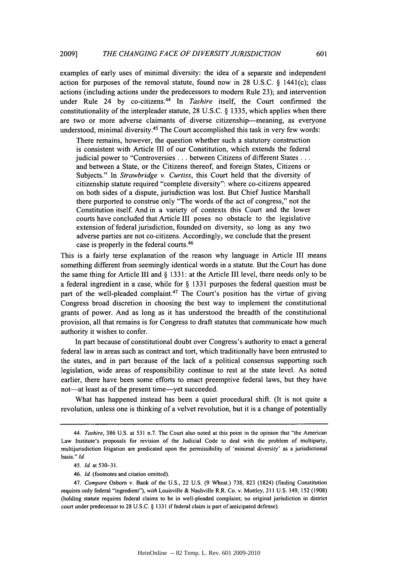examples of early uses of minimal diversity: the idea of a separate and independent action for purposes of the removal statute, found now in **28 U.S.C. §** 1441(c); class actions (including actions under the predecessors to modem Rule **23);** and intervention under Rule 24 by co-citizens.<sup>44</sup> In *Tashire* itself, the Court confirmed the constitutionality of the interpleader statute, **28 U.S.C. § 1335,** which applies when there are two or more adverse claimants of diverse citizenship-meaning, as everyone understood, minimal diversity.<sup>45</sup> The Court accomplished this task in very few words:

There remains, however, the question whether such a statutory construction is consistent with Article **III** of our Constitution, which extends the federal judicial power to "Controversies **.** . **.** between Citizens of different States **...** and between a State, or the Citizens thereof, and foreign States, Citizens or Subjects." In *Strawbridge v. Curtiss,* this Court held that the diversity of citizenship statute required "complete diversity": where co-citizens appeared on both sides of a dispute, jurisdiction was lost. But Chief Justice Marshall there purported to construe only "The words of the act of congress," not the Constitution itself. And in a variety of contexts this Court and the lower courts have concluded that Article **III** poses no obstacle to the legislative extension of federal jurisdiction, founded on diversity, so long as any two adverse parties are not co-citizens. Accordingly, we conclude that the present case is properly in the federal courts.<sup>46</sup>

This is a fairly terse explanation of the reason why language in Article **III** means something different from seemingly identical words in a statute. But the Court has done the same thing for Article **III** and **§ 1331:** at the Article **III** level, there needs only to be a federal ingredient in a case, while for **§ 1331** purposes the federal question must be part of the well-pleaded complaint.<sup>47</sup> The Court's position has the virtue of giving Congress broad discretion in choosing the best way to implement the constitutional grants of power. And as long as it has understood the breadth of the constitutional provision, all that remains is for Congress to draft statutes that communicate how much authority it wishes to confer.

In part because of constitutional doubt over Congress's authority to enact a general federal law in areas such as contract and tort, which traditionally have been entrusted to the states, and in part because of the lack of a political consensus supporting such legislation, wide areas of responsibility continue to rest at the state level. As noted earlier, there have been some efforts to enact preemptive federal laws, but they have not—at least as of the present time—yet succeeded.

What has happened instead has been a quiet procedural shift. (It is not quite a revolution, unless one is thinking of a velvet revolution, but it is a change of potentially

**<sup>44.</sup> Tashire, 386 U.S.** at **531** n.7. The Court also noted at this point in the opinion that "the American Law Institute's proposals for revision of the Judicial Code to deal with the problem of multiparty, multijurisdiction litigation are predicated upon the permissibility of 'minimal diversity' as a jurisdictional basis." *Id.*

*<sup>45.</sup> Id. at* **530-31.**

<sup>46.</sup> Id. (footnotes and citation omitted).

*<sup>47.</sup> Compare* Osborn **v.** Bank **of** the **U.S.,** 22 **U.S. (9** Wheat.) **738, 823** (1824) (finding Constitution requires only federal "ingredient"), *with* Louisville **&** Nashville R.R. Co. v. Mottley, 211 **U.S.** 149, **152 (1908)** (holding statute requires federal claims to be in well-pleaded complaint; no original jurisdiction in district court under predecessor to **28 U.S.C. § 1331** if federal claim is part of anticipated defense).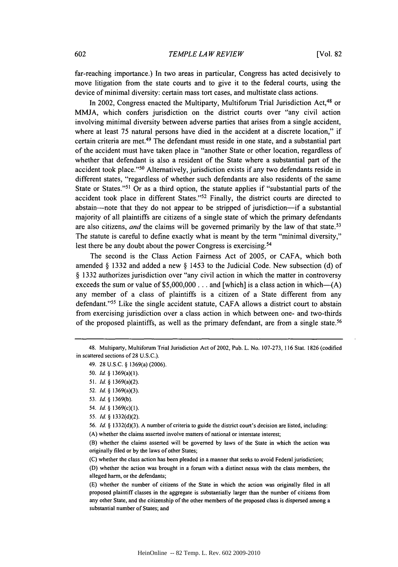far-reaching importance.) In two areas in particular, Congress has acted decisively to move litigation from the state courts and to give it to the federal courts, using the device of minimal diversity: certain mass tort cases, and multistate class actions.

In 2002, Congress enacted the Multiparty, Multiforum Trial Jurisdiction Act,<sup>48</sup> or **MMJA,** which confers jurisdiction on the district courts over "any civil action involving minimal diversity between adverse parties that arises from a single accident, where at least **75** natural persons have died in the accident at a discrete location," if certain criteria are met.49 The defendant must reside in one state, and a substantial part of the accident must have taken place in "another State or other location, regardless of whether that defendant is also a resident of the State where a substantial part of the accident took place."50 Alternatively, jurisdiction exists if any two defendants reside in different states, "regardless of whether such defendants are also residents of the same State or States."51 Or as a third option, the statute applies if "substantial parts of the accident took place in different States."<sup>52</sup> Finally, the district courts are directed to abstain—note that they do not appear to be stripped of jurisdiction—if a substantial majority of all plaintiffs are citizens of a single state of which the primary defendants are also citizens, *and* the claims will be governed primarily by the law of that state.<sup>53</sup> The statute is careful to define exactly what is meant **by** the term "minimal diversity," lest there be any doubt about the power Congress is exercising.<sup>54</sup>

The second is the Class Action Fairness Act of **2005,** or **CAFA,** which both amended **§ 1332** and added a new **§** 1453 to the Judicial Code. New subsection **(d)** of **§ 1332** authorizes jurisdiction over "any civil action in which the matter in controversy exceeds the sum or value of **\$5,000,000 ...** and [which] is a class action in which-(A) any member of a class of plaintiffs is a citizen of a State different from any defendant."55 Like the single accident statute, **CAFA** allows a district court to abstain from exercising jurisdiction over a class action in which between one- and two-thirds of the proposed plaintiffs, as well as the primary defendant, are *from* a single state.<sup>56</sup>

**(A)** whether the claims asserted involve matters of national or interstate interest;

<sup>48.</sup> Multiparty, Multiforum Trial Jurisdiction Act of 2002, Pub. L. No. **107-273, 116** Stat. **1826** (codified in scattered sections of 28 **U.S.C.).**

<sup>49.</sup> **28 U.S.C. §** 1369(a) **(2006).**

*<sup>50.</sup> Id.* **§** 1369(a)(1).

*<sup>51.</sup> Id.* **§** 1369(a)(2).

**<sup>52.</sup>** *Id.* **§** 1369(a)(3).

**<sup>53.</sup>** *Id* **§ 1369(b).**

<sup>54.</sup> *Id* **§** 1369(c)(1).

**<sup>55.</sup>** *Id* **§ 1332(d)(2).**

**<sup>56.</sup>** *Id* **§ 1332(d)(3). A** number of criteria to guide the district court's decision are listed, including:

<sup>(</sup>B) whether the claims asserted will be governed **by** laws of the State in which the action was originally filed or **by** the laws of other States;

**<sup>(</sup>C)** whether the class action has been pleaded in a manner that seeks to avoid Federal jurisdiction;

**<sup>(</sup>D)** whether the action was brought in a forum with a distinct nexus with the class members, the alleged harm, or the defendants;

**<sup>(</sup>E)** whether the number of citizens of the State in which the action was originally filed in all proposed plaintiff classes in the aggregate is substantially larger than the number of **citizens from** any other State, and the citizenship of the other members of the proposed class is dispersed among a substantial number of States; and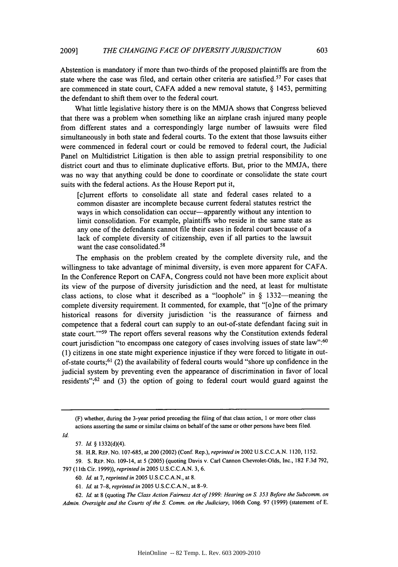Abstention is mandatory if more than two-thirds of the proposed plaintiffs are from the state where the case was filed, and certain other criteria are satisfied.<sup>57</sup> For cases that are commenced in state court, **CAFA** added a new removal statute, **§** 1453, permitting the defendant to shift them over to the federal court.

What little legislative history there is on the **MMJA** shows that Congress believed that there was a problem when something like an airplane crash injured many people from different states and a correspondingly large number of lawsuits were filed simultaneously in both state and federal courts. To the extent that those lawsuits either were commenced in federal court or could be removed to federal court, the Judicial Panel on Multidistrict Litigation is then able to assign pretrial responsibility to one district court and thus to eliminate duplicative efforts. But, prior to the **MMJA,** there was no way that anything could be done to coordinate or consolidate the state court suits with the federal actions. As the House Report put it,

[c]urrent efforts to consolidate all state and federal cases related to a common disaster are incomplete because current federal statutes restrict the ways in which consolidation can occur-apparently without any intention to limit consolidation. For example, plaintiffs who reside in the same state as any one of the defendants cannot file their cases in federal court because of a lack of complete diversity of citizenship, even if all parties to the lawsuit want the case consolidated.<sup>58</sup>

The emphasis on the problem created **by** the complete diversity rule, and the willingness to take advantage of minimal diversity, is even more apparent for **CAFA.** In the Conference Report on **CAFA,** Congress could not have been more explicit about its view of the purpose of diversity jurisdiction and the need, at least for multistate class actions, to close what it described as a "loophole" in **§** 1332-meaning the complete diversity requirement. It commented, for example, that "[o]ne of the primary historical reasons for diversity jurisdiction 'is the reassurance of fairness and competence that a federal court can supply to an out-of-state defendant facing suit in state court."<sup>59</sup> The report offers several reasons why the Constitution extends federal court jurisdiction "to encompass one category of cases involving issues of state law":<sup>60</sup> **(1)** citizens in one state might experience injustice if they were forced to litigate in outof-state courts;<sup>61</sup> (2) the availability of federal courts would "shore up confidence in the judicial system **by** preventing even the appearance of discrimination in favor of local residents"; 62 and **(3)** the option of going to federal court would guard against the

*Id.*

*60. Id.* at **7,** *reprinted in* **2005 U.S.C.C.A.N.,** at **8.**

<sup>(</sup>F) whether, during the 3-year period preceding the filing of that class action, **I** or more other class actions asserting the same or similar claims on behalf of the same or other persons have been filed.

*<sup>57.</sup> Id. §* **1332(d)(4).**

**<sup>58.</sup>** H.R. REP. No. **107-685,** at 200 (2002) (Conf. Rep.), *reprinted in* 2002 **U.S.C.C.A.N.** 1120, **1152.**

**<sup>59.</sup> S.** REP. No. 109-14, at **5 (2005)** (quoting Davis v. Carl Cannon Chevrolet-Olds, Inc., **182 F.3d 792, 797 (11th** Cir. **1999)),** *reprinted in* **2005 U.S.C.C.A.N. 3, 6.**

*<sup>61.</sup> Id.* at **7-8,** *reprinted in* **2005 U.S.C.C.A.N.,** at **8-9.**

*<sup>62.</sup> Id.* at **8** (quoting *The Class Action Fairness Act of 1999: Hearing on S. 353 Before the Subcomm. on Admin. Oversight and the Courts of the S. Comm. on the Judiciary,* 106th Cong. **97 (1999)** (statement of **E.**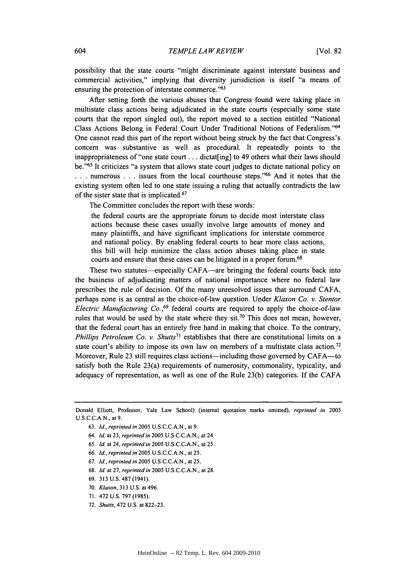possibility that the state courts "might discriminate against interstate business and commercial activities," implying that diversity jurisdiction is itself "a means of ensuring the protection of interstate commerce."<sup>63</sup>

After setting forth the various abuses that Congress found were taking place in multistate class actions being adjudicated in the state courts (especially some state courts that the report singled out), the report moved to a section entitled "National Class Actions Belong in Federal Court Under Traditional Notions of Federalism."<sup>64</sup> One cannot read this part of the report without being struck **by** the fact that Congress's concern was substantive as well as procedural. It repeatedly points to the inappropriateness of "one state court **. ..** dictat[ing] to 49 others what their laws should be."<sup>65</sup> It criticizes "a system that allows state court judges to dictate national policy on **. . .** numerous **. . .** issues from the local courthouse steps." 66 And it notes that the existing system often led to one state issuing a ruling that actually contradicts the law of the sister state that is implicated.<sup>67</sup>

The Committee concludes the report with these words:

the federal courts are the appropriate forum to decide most interstate class actions because these cases usually involve large amounts of money and many plaintiffs, and have significant implications for interstate commerce and national policy. **By** enabling federal courts to hear more class actions, this bill will help minimize the class action abuses taking place in state courts and ensure that these cases can be litigated in a proper forum.<sup>68</sup>

These two statutes—especially CAFA—are bringing the federal courts back into the business of adjudicating matters of national importance where no federal law prescribes the rule of decision. **Of** the many unresolved issues that surround **CAFA,** perhaps none is as central as the choice-of-law question. Under *Klaxon Co. v. Stentor Electric Manufacturing Co.*,<sup>69</sup> federal courts are required to apply the choice-of-law rules that would be used **by** the state where they sit.70 This does not mean, however, that the federal court has an entirely free hand in making that choice. To the contrary, *Phillips Petroleum Co. v. Shutts*<sup>71</sup> establishes that there are constitutional limits on a state court's ability to impose its own law on members of a multistate class action.<sup>72</sup> Moreover, Rule **23** still requires class actions-including those governed **by** CAFA-to satisfy both the Rule 23(a) requirements of numerosity, commonality, typicality, and adequacy of representation, as well as one of the Rule **23(b)** categories. **If** the **CAFA**

- **66.** *Id, reprinted in* **2005 U.S.C.C.A.N.,** at **25.**
- **67.** *Id, reprinted in* **2005 U.S.C.C.A.N.,** at **25.**
- **68.** *Id.* at **27,** *reprinted in* **2005 U.S.C.C.A.N.,** at **28.**
- **69. 313 U.S. 487** (1941).
- **70.** *Klaxon,* **313 U.S.** at 496.
- **71.** 472 **U.S. 797 (1985).**
- **72.** *Shutts,* 472 **U.S.** at **822-23.**

Donald Elliott, Professor, Yale Law School) (internal quotation marks omitted), *reprinted in 2005* **U.S.C.C.A.N.,** at **9.**

**<sup>63.</sup>** *Id., reprinted in* **2005 U.S.C.C.A.N.,** at **9.**

<sup>64.</sup> *Id.* at **23,** *reprinted in* **2005 U.S.C.C.A.N.,** at 24.

**<sup>65.</sup>** *Id.* at 24, **reprinted in 2005 U.S.C.C.A.N.,** at **25.**